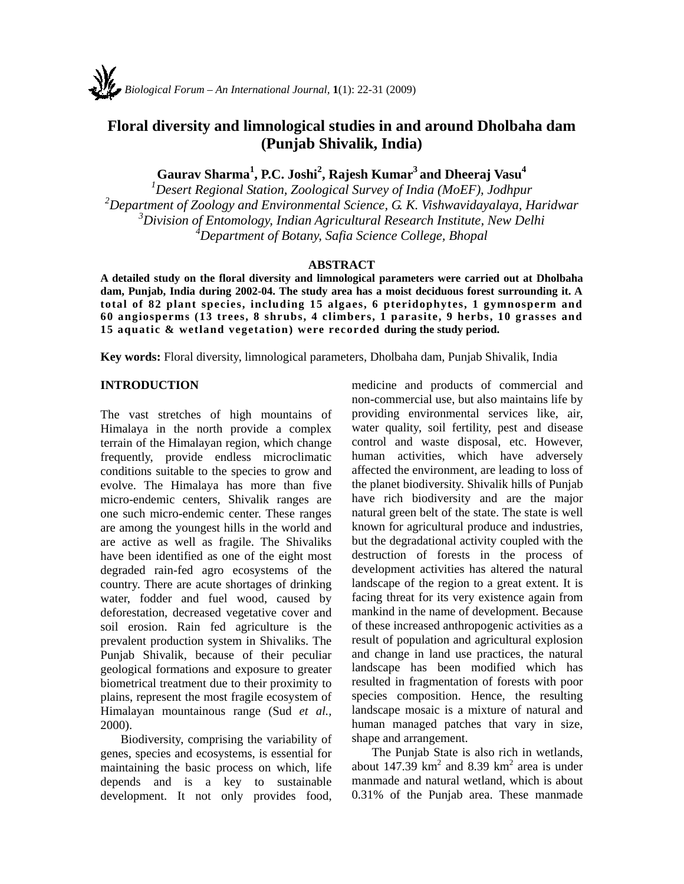# **Floral diversity and limnological studies in and around Dholbaha dam (Punjab Shivalik, India)**

**Gaurav Sharma1 , P.C. Joshi<sup>2</sup> , Rajesh Kumar3 and Dheeraj Vasu4**

 *Desert Regional Station, Zoological Survey of India (MoEF), Jodhpur Department of Zoology and Environmental Science, G. K. Vishwavidayalaya, Haridwar Division of Entomology, Indian Agricultural Research Institute, New Delhi Department of Botany, Safia Science College, Bhopal* 

### **ABSTRACT**

**A detailed study on the floral diversity and limnological parameters were carried out at Dholbaha dam, Punjab, India during 2002-04. The study area has a moist deciduous forest surrounding it. A total of 82 plant species, including 15 algaes, 6 pteridophytes, 1 gymnosperm and 60 angiosperms (13 trees, 8 shrubs, 4 climbers, 1 parasite, 9 herbs, 10 grasses and 15 aquatic & wetland vegetation) were recorded during the study period.** 

**Key words:** Floral diversity, limnological parameters, Dholbaha dam, Punjab Shivalik, India

#### **INTRODUCTION**

The vast stretches of high mountains of Himalaya in the north provide a complex terrain of the Himalayan region, which change frequently, provide endless microclimatic conditions suitable to the species to grow and evolve. The Himalaya has more than five micro-endemic centers, Shivalik ranges are one such micro-endemic center. These ranges are among the youngest hills in the world and are active as well as fragile. The Shivaliks have been identified as one of the eight most degraded rain-fed agro ecosystems of the country. There are acute shortages of drinking water, fodder and fuel wood, caused by deforestation, decreased vegetative cover and soil erosion. Rain fed agriculture is the prevalent production system in Shivaliks. The Punjab Shivalik, because of their peculiar geological formations and exposure to greater biometrical treatment due to their proximity to plains, represent the most fragile ecosystem of Himalayan mountainous range (Sud *et al.,* 2000).

Biodiversity, comprising the variability of genes, species and ecosystems, is essential for maintaining the basic process on which, life depends and is a key to sustainable development. It not only provides food, medicine and products of commercial and non-commercial use, but also maintains life by providing environmental services like, air, water quality, soil fertility, pest and disease control and waste disposal, etc. However, human activities, which have adversely affected the environment, are leading to loss of the planet biodiversity. Shivalik hills of Punjab have rich biodiversity and are the major natural green belt of the state. The state is well known for agricultural produce and industries, but the degradational activity coupled with the destruction of forests in the process of development activities has altered the natural landscape of the region to a great extent. It is facing threat for its very existence again from mankind in the name of development. Because of these increased anthropogenic activities as a result of population and agricultural explosion and change in land use practices, the natural landscape has been modified which has resulted in fragmentation of forests with poor species composition. Hence, the resulting landscape mosaic is a mixture of natural and human managed patches that vary in size, shape and arrangement.

The Punjab State is also rich in wetlands, about 147.39  $km^2$  and 8.39  $km^2$  area is under manmade and natural wetland, which is about 0.31% of the Punjab area. These manmade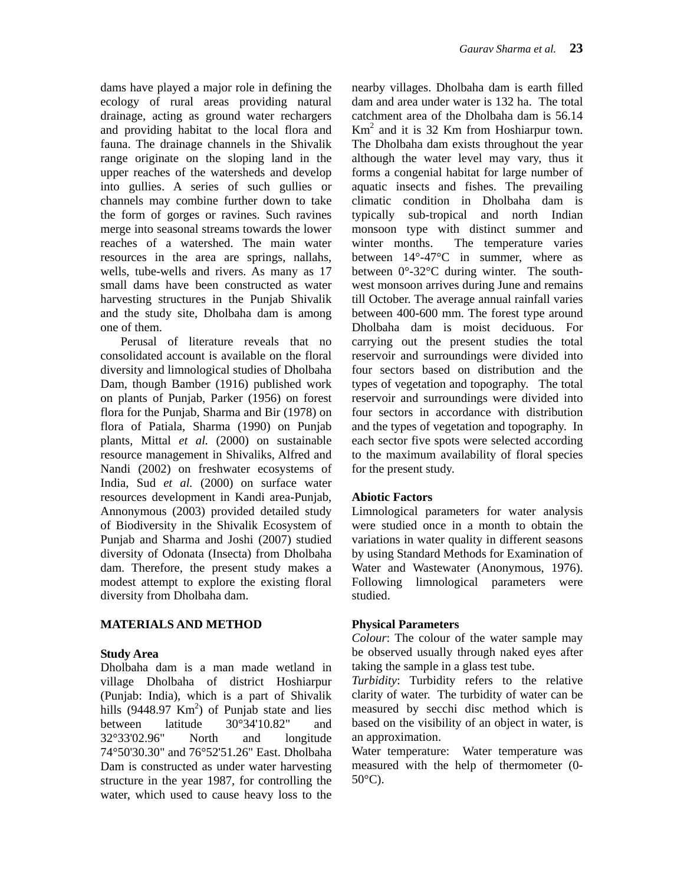dams have played a major role in defining the ecology of rural areas providing natural drainage, acting as ground water rechargers and providing habitat to the local flora and fauna. The drainage channels in the Shivalik range originate on the sloping land in the upper reaches of the watersheds and develop into gullies. A series of such gullies or channels may combine further down to take the form of gorges or ravines. Such ravines merge into seasonal streams towards the lower reaches of a watershed. The main water resources in the area are springs, nallahs, wells, tube-wells and rivers. As many as 17 small dams have been constructed as water harvesting structures in the Punjab Shivalik and the study site, Dholbaha dam is among one of them.

Perusal of literature reveals that no consolidated account is available on the floral diversity and limnological studies of Dholbaha Dam, though Bamber (1916) published work on plants of Punjab, Parker (1956) on forest flora for the Punjab, Sharma and Bir (1978) on flora of Patiala, Sharma (1990) on Punjab plants, Mittal *et al.* (2000) on sustainable resource management in Shivaliks, Alfred and Nandi (2002) on freshwater ecosystems of India, Sud *et al.* (2000) on surface water resources development in Kandi area-Punjab, Annonymous (2003) provided detailed study of Biodiversity in the Shivalik Ecosystem of Punjab and Sharma and Joshi (2007) studied diversity of Odonata (Insecta) from Dholbaha dam. Therefore, the present study makes a modest attempt to explore the existing floral diversity from Dholbaha dam.

#### **MATERIALS AND METHOD**

#### **Study Area**

Dholbaha dam is a man made wetland in village Dholbaha of district Hoshiarpur (Punjab: India), which is a part of Shivalik hills  $(9448.97 \text{ Km}^2)$  of Punjab state and lies between latitude 30°34'10.82" and 32°33'02.96" North and longitude 74°50'30.30" and 76°52'51.26" East. Dholbaha Dam is constructed as under water harvesting structure in the year 1987, for controlling the water, which used to cause heavy loss to the

nearby villages. Dholbaha dam is earth filled dam and area under water is 132 ha. The total catchment area of the Dholbaha dam is 56.14 Km<sup>2</sup> and it is 32 Km from Hoshiarpur town. The Dholbaha dam exists throughout the year although the water level may vary, thus it forms a congenial habitat for large number of aquatic insects and fishes. The prevailing climatic condition in Dholbaha dam is typically sub-tropical and north Indian monsoon type with distinct summer and winter months. The temperature varies between 14°-47°C in summer, where as between 0°-32°C during winter. The southwest monsoon arrives during June and remains till October. The average annual rainfall varies between 400-600 mm. The forest type around Dholbaha dam is moist deciduous. For carrying out the present studies the total reservoir and surroundings were divided into four sectors based on distribution and the types of vegetation and topography. The total reservoir and surroundings were divided into four sectors in accordance with distribution and the types of vegetation and topography. In each sector five spots were selected according to the maximum availability of floral species for the present study.

#### **Abiotic Factors**

Limnological parameters for water analysis were studied once in a month to obtain the variations in water quality in different seasons by using Standard Methods for Examination of Water and Wastewater (Anonymous, 1976). Following limnological parameters were studied.

#### **Physical Parameters**

*Colour*: The colour of the water sample may be observed usually through naked eyes after taking the sample in a glass test tube.

*Turbidity*: Turbidity refers to the relative clarity of water. The turbidity of water can be measured by secchi disc method which is based on the visibility of an object in water, is an approximation.

Water temperature: Water temperature was measured with the help of thermometer (0- 50°C).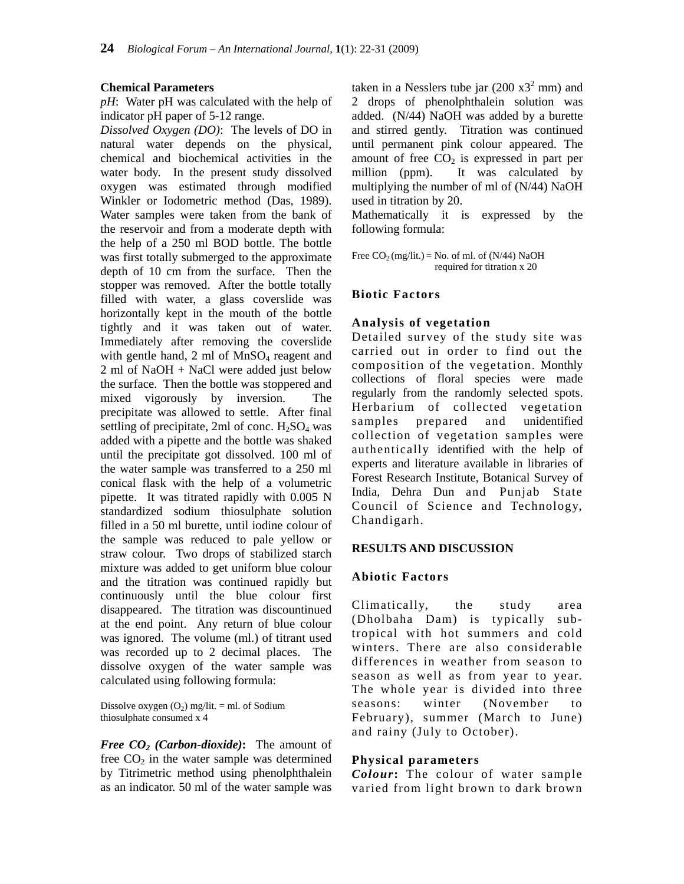#### **Chemical Parameters**

*pH*: Water pH was calculated with the help of indicator pH paper of 5-12 range.

*Dissolved Oxygen (DO)*: The levels of DO in natural water depends on the physical, chemical and biochemical activities in the water body. In the present study dissolved oxygen was estimated through modified Winkler or Iodometric method (Das, 1989). Water samples were taken from the bank of the reservoir and from a moderate depth with the help of a 250 ml BOD bottle. The bottle was first totally submerged to the approximate depth of 10 cm from the surface. Then the stopper was removed. After the bottle totally filled with water, a glass coverslide was horizontally kept in the mouth of the bottle tightly and it was taken out of water. Immediately after removing the coverslide with gentle hand,  $2 \text{ ml of MnSO}_4$  reagent and 2 ml of NaOH + NaCl were added just below the surface. Then the bottle was stoppered and mixed vigorously by inversion. The precipitate was allowed to settle. After final settling of precipitate, 2ml of conc.  $H_2SO_4$  was added with a pipette and the bottle was shaked until the precipitate got dissolved. 100 ml of the water sample was transferred to a 250 ml conical flask with the help of a volumetric pipette. It was titrated rapidly with 0.005 N standardized sodium thiosulphate solution filled in a 50 ml burette, until iodine colour of the sample was reduced to pale yellow or straw colour. Two drops of stabilized starch mixture was added to get uniform blue colour and the titration was continued rapidly but continuously until the blue colour first disappeared. The titration was discountinued at the end point. Any return of blue colour was ignored. The volume (ml.) of titrant used was recorded up to 2 decimal places. The dissolve oxygen of the water sample was calculated using following formula:

Dissolve oxygen  $(O_2)$  mg/lit. = ml. of Sodium thiosulphate consumed x 4

*Free CO<sub>2</sub> (Carbon-dioxide)*: The amount of free  $CO<sub>2</sub>$  in the water sample was determined by Titrimetric method using phenolphthalein as an indicator. 50 ml of the water sample was

taken in a Nesslers tube jar  $(200 \text{ x}^3)$ <sup>2</sup> mm) and 2 drops of phenolphthalein solution was added. (N/44) NaOH was added by a burette and stirred gently. Titration was continued until permanent pink colour appeared. The amount of free  $CO<sub>2</sub>$  is expressed in part per million (ppm). It was calculated by multiplying the number of ml of (N/44) NaOH used in titration by 20.

Mathematically it is expressed by the following formula:

Free  $CO_2$  (mg/lit.) = No. of ml. of (N/44) NaOH required for titration x 20

### **Biotic Factors**

### **Analysis of vegetation**

Detailed survey of the study site was carried out in order to find out the composition of the vegetation. Monthly collections of floral species were made regularly from the randomly selected spots. Herbarium of collected vegetation samples prepared and unidentified collection of vegetation samples were authentically identified with the help of experts and literature available in libraries of Forest Research Institute, Botanical Survey of India, Dehra Dun and Punjab State Council of Science and Technology, Chandigarh.

#### **RESULTS AND DISCUSSION**

#### **Abiotic Factors**

Climatically, the study area (Dholbaha Dam) is typically subtropical with hot summers and cold winters. There are also considerable differences in weather from season to season as well as from year to year. The whole year is divided into three seasons: winter (November to February), summer (March to June) and rainy (July to October).

#### **Physical parameters**

*Colour***:** The colour of water sample varied from light brown to dark brown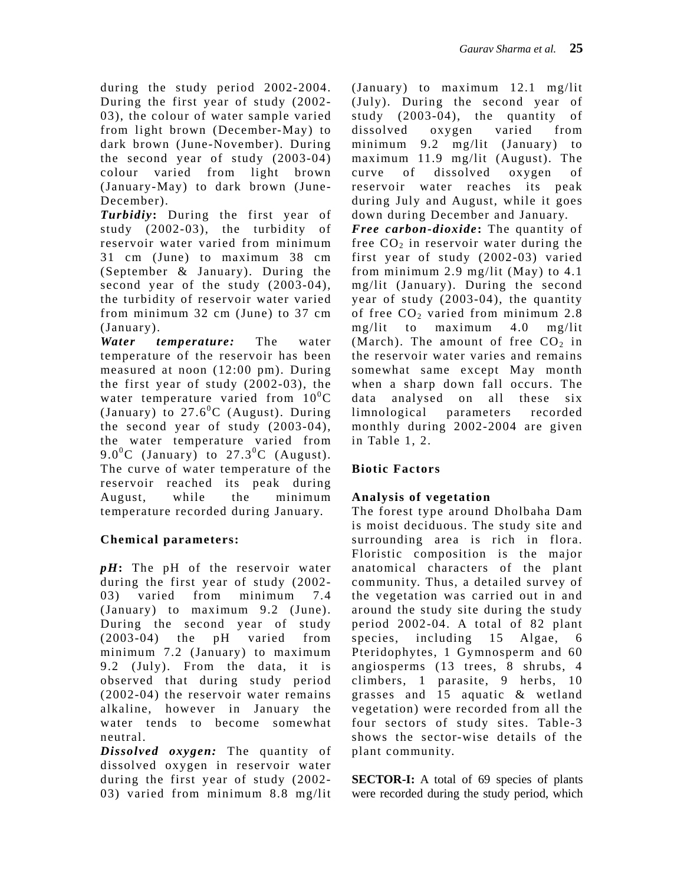during the study period 2002-2004. During the first year of study (2002- 03), the colour of water sample varied from light brown (December-May) to dark brown (June-November). During the second year of study (2003-04) colour varied from light brown (January-May) to dark brown (June-December).

*Turbidiy***:** During the first year of study (2002-03), the turbidity of reservoir water varied from minimum 31 cm (June) to maximum 38 cm (September & January). During the second year of the study (2003-04), the turbidity of reservoir water varied from minimum 32 cm (June) to 37 cm (January).

*Water temperature:* The water temperature of the reservoir has been measured at noon (12:00 pm). During the first year of study (2002-03), the water temperature varied from  $10^{0}$ C (January) to  $27.6^{\circ}$ C (August). During the second year of study (2003-04), the water temperature varied from 9.0<sup>o</sup>C (January) to  $27.3$ <sup>o</sup>C (August). The curve of water temperature of the reservoir reached its peak during August, while the minimum temperature recorded during January.

# **Chemical parameters:**

*pH***:** The pH of the reservoir water during the first year of study (2002- 03) varied from minimum 7.4 (January) to maximum 9.2 (June). During the second year of study (2003-04) the pH varied from minimum 7.2 (January) to maximum 9.2 (July). From the data, it is observed that during study period (2002-04) the reservoir water remains alkaline, however in January the water tends to become somewhat neutral.

*Dissolved oxygen:* The quantity of dissolved oxygen in reservoir water during the first year of study (2002- 03) varied from minimum 8.8 mg/lit (January) to maximum 12.1 mg/lit (July). During the second year of study (2003-04), the quantity of dissolved oxygen varied from minimum 9.2 mg/lit (January) to maximum 11.9 mg/lit (August). The curve of dissolved oxygen of reservoir water reaches its peak during July and August, while it goes down during December and January.

*Free carbon-dioxide***:** The quantity of free  $CO<sub>2</sub>$  in reservoir water during the first year of study (2002-03) varied from minimum 2.9 mg/lit (May) to 4.1 mg/lit (January). During the second year of study (2003-04), the quantity of free  $CO<sub>2</sub>$  varied from minimum 2.8 mg/lit to maximum 4.0 mg/lit (March). The amount of free  $CO<sub>2</sub>$  in the reservoir water varies and remains somewhat same except May month when a sharp down fall occurs. The data analysed on all these six limnological parameters recorded monthly during 2002-2004 are given in Table 1, 2.

# **Biotic Factors**

# **Analysis of vegetation**

The forest type around Dholbaha Dam is moist deciduous. The study site and surrounding area is rich in flora. Floristic composition is the major anatomical characters of the plant community. Thus, a detailed survey of the vegetation was carried out in and around the study site during the study period 2002-04. A total of 82 plant species, including 15 Algae, 6 Pteridophytes, 1 Gymnosperm and 60 angiosperms (13 trees, 8 shrubs, 4 climbers, 1 parasite, 9 herbs, 10 grasses and 15 aquatic & wetland vegetation) were recorded from all the four sectors of study sites. Table-3 shows the sector-wise details of the plant community.

**SECTOR-I:** A total of 69 species of plants were recorded during the study period, which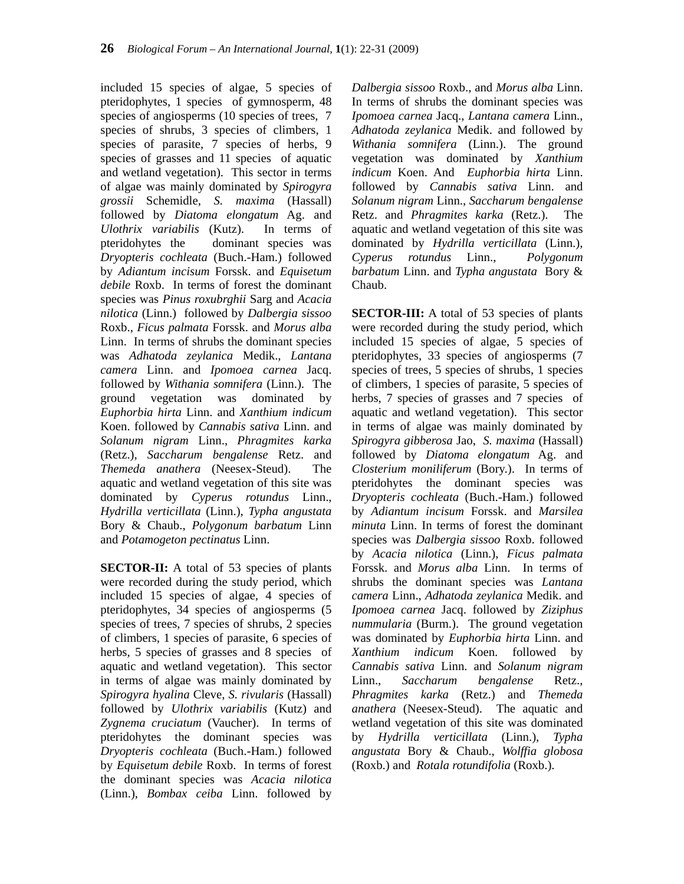included 15 species of algae, 5 species of pteridophytes, 1 species of gymnosperm, 48 species of angiosperms (10 species of trees, 7 species of shrubs, 3 species of climbers, 1 species of parasite, 7 species of herbs, 9 species of grasses and 11 species of aquatic and wetland vegetation). This sector in terms of algae was mainly dominated by *Spirogyra grossii* Schemidle, *S. maxima* (Hassall) followed by *Diatoma elongatum* Ag. and *Ulothrix variabilis* (Kutz). In terms of pteridohytes the dominant species was *Dryopteris cochleata* (Buch.-Ham.) followed by *Adiantum incisum* Forssk. and *Equisetum debile* Roxb. In terms of forest the dominant species was *Pinus roxubrghii* Sarg and *Acacia nilotica* (Linn.) followed by *Dalbergia sissoo* Roxb., *Ficus palmata* Forssk. and *Morus alba* Linn. In terms of shrubs the dominant species was *Adhatoda zeylanica* Medik., *Lantana camera* Linn. and *Ipomoea carnea* Jacq. followed by *Withania somnifera* (Linn.). The ground vegetation was dominated by *Euphorbia hirta* Linn. and *Xanthium indicum* Koen. followed by *Cannabis sativa* Linn. and *Solanum nigram* Linn., *Phragmites karka* (Retz.), *Saccharum bengalense* Retz. and *Themeda anathera* (Neesex-Steud). The aquatic and wetland vegetation of this site was dominated by *Cyperus rotundus* Linn., *Hydrilla verticillata* (Linn.), *Typha angustata* Bory & Chaub., *Polygonum barbatum* Linn and *Potamogeton pectinatus* Linn.

**SECTOR-II:** A total of 53 species of plants were recorded during the study period, which included 15 species of algae, 4 species of pteridophytes, 34 species of angiosperms (5 species of trees, 7 species of shrubs, 2 species of climbers, 1 species of parasite, 6 species of herbs, 5 species of grasses and 8 species of aquatic and wetland vegetation). This sector in terms of algae was mainly dominated by *Spirogyra hyalina* Cleve, *S. rivularis* (Hassall) followed by *Ulothrix variabilis* (Kutz) and *Zygnema cruciatum* (Vaucher). In terms of pteridohytes the dominant species was *Dryopteris cochleata* (Buch.-Ham.) followed by *Equisetum debile* Roxb. In terms of forest the dominant species was *Acacia nilotica* (Linn.), *Bombax ceiba* Linn. followed by *Dalbergia sissoo* Roxb., and *Morus alba* Linn. In terms of shrubs the dominant species was *Ipomoea carnea* Jacq., *Lantana camera* Linn., *Adhatoda zeylanica* Medik. and followed by *Withania somnifera* (Linn.). The ground vegetation was dominated by *Xanthium indicum* Koen. And *Euphorbia hirta* Linn. followed by *Cannabis sativa* Linn. and *Solanum nigram* Linn., *Saccharum bengalense* Retz. and *Phragmites karka* (Retz.). The aquatic and wetland vegetation of this site was dominated by *Hydrilla verticillata* (Linn.), *Cyperus rotundus* Linn., *Polygonum barbatum* Linn. and *Typha angustata* Bory & Chaub.

**SECTOR-III:** A total of 53 species of plants were recorded during the study period, which included 15 species of algae, 5 species of pteridophytes, 33 species of angiosperms (7 species of trees, 5 species of shrubs, 1 species of climbers, 1 species of parasite, 5 species of herbs, 7 species of grasses and 7 species of aquatic and wetland vegetation). This sector in terms of algae was mainly dominated by *Spirogyra gibberosa* Jao, *S. maxima* (Hassall) followed by *Diatoma elongatum* Ag. and *Closterium moniliferum* (Bory.). In terms of pteridohytes the dominant species was *Dryopteris cochleata* (Buch.-Ham.) followed by *Adiantum incisum* Forssk. and *Marsilea minuta* Linn. In terms of forest the dominant species was *Dalbergia sissoo* Roxb. followed by *Acacia nilotica* (Linn.), *Ficus palmata* Forssk. and *Morus alba* Linn. In terms of shrubs the dominant species was *Lantana camera* Linn., *Adhatoda zeylanica* Medik. and *Ipomoea carnea* Jacq. followed by *Ziziphus nummularia* (Burm.). The ground vegetation was dominated by *Euphorbia hirta* Linn. and *Xanthium indicum* Koen. followed by *Cannabis sativa* Linn. and *Solanum nigram* Linn., *Saccharum bengalense* Retz., *Phragmites karka* (Retz.) and *Themeda anathera* (Neesex-Steud). The aquatic and wetland vegetation of this site was dominated by *Hydrilla verticillata* (Linn.), *Typha angustata* Bory & Chaub., *Wolffia globosa* (Roxb.) and *Rotala rotundifolia* (Roxb.).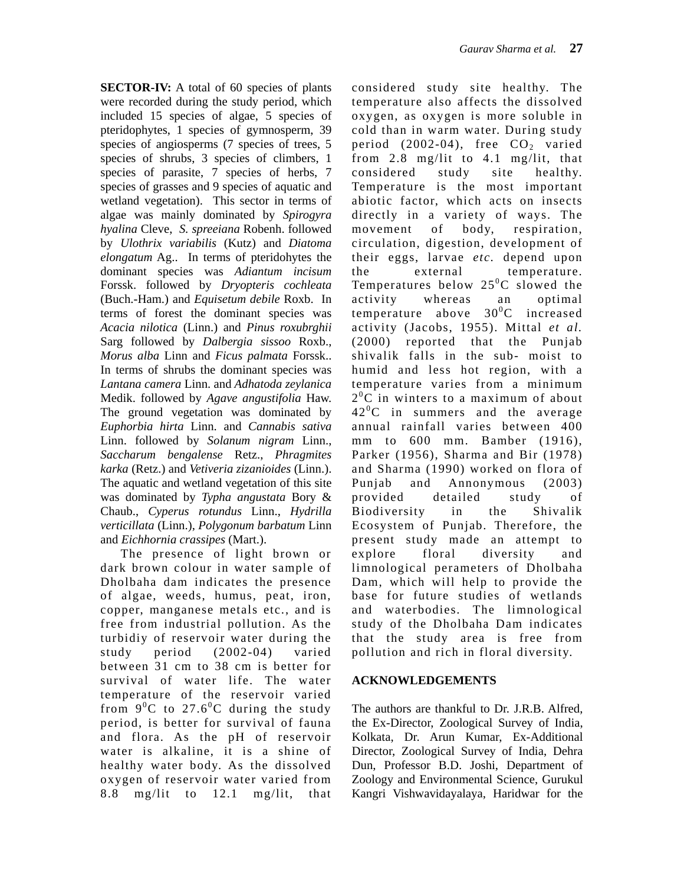**SECTOR-IV:** A total of 60 species of plants were recorded during the study period, which included 15 species of algae, 5 species of pteridophytes, 1 species of gymnosperm, 39 species of angiosperms (7 species of trees, 5 species of shrubs, 3 species of climbers, 1 species of parasite, 7 species of herbs, 7 species of grasses and 9 species of aquatic and wetland vegetation). This sector in terms of algae was mainly dominated by *Spirogyra hyalina* Cleve, *S. spreeiana* Robenh. followed by *Ulothrix variabilis* (Kutz) and *Diatoma elongatum* Ag.. In terms of pteridohytes the dominant species was *Adiantum incisum* Forssk. followed by *Dryopteris cochleata* (Buch.-Ham.) and *Equisetum debile* Roxb. In terms of forest the dominant species was *Acacia nilotica* (Linn.) and *Pinus roxubrghii* Sarg followed by *Dalbergia sissoo* Roxb., *Morus alba* Linn and *Ficus palmata* Forssk.. In terms of shrubs the dominant species was *Lantana camera* Linn. and *Adhatoda zeylanica* Medik. followed by *Agave angustifolia* Haw. The ground vegetation was dominated by *Euphorbia hirta* Linn. and *Cannabis sativa* Linn. followed by *Solanum nigram* Linn., *Saccharum bengalense* Retz., *Phragmites karka* (Retz.) and *Vetiveria zizanioides* (Linn.). The aquatic and wetland vegetation of this site was dominated by *Typha angustata* Bory & Chaub., *Cyperus rotundus* Linn., *Hydrilla verticillata* (Linn.), *Polygonum barbatum* Linn and *Eichhornia crassipes* (Mart.).

The presence of light brown or dark brown colour in water sample of Dholbaha dam indicates the presence of algae, weeds, humus, peat, iron, copper, manganese metals etc., and is free from industrial pollution. As the turbidiy of reservoir water during the study period (2002-04) varied between 31 cm to 38 cm is better for survival of water life. The water temperature of the reservoir varied from  $9^0C$  to  $27.6^0C$  during the study period, is better for survival of fauna and flora. As the pH of reservoir water is alkaline, it is a shine of healthy water body. As the dissolved oxygen of reservoir water varied from 8.8 mg/lit to 12.1 mg/lit, that

considered study site healthy. The temperature also affects the dissolved oxygen, as oxygen is more soluble in cold than in warm water. During study period  $(2002-04)$ , free  $CO<sub>2</sub>$  varied from 2.8 mg/lit to 4.1 mg/lit, that considered study site healthy. Temperature is the most important abiotic factor, which acts on insects directly in a variety of ways. The movement of body, respiration, circulation, digestion, development of their eggs, larvae *etc.* depend upon the external temperature. Temperatures below  $25^{\circ}$ C slowed the activity whereas an optimal temperature above  $30^{\circ}$ C increased activity (Jacobs, 1955). Mittal *et al.* (2000) reported that the Punjab shivalik falls in the sub- moist to humid and less hot region, with a temperature varies from a minimum  $2^{0}$ C in winters to a maximum of about  $42^{\circ}$ C in summers and the average annual rainfall varies between 400 mm to 600 mm. Bamber (1916), Parker (1956), Sharma and Bir (1978) and Sharma (1990) worked on flora of Punjab and Annonymous (2003) provided detailed study of Biodiversity in the Shivalik Ecosystem of Punjab. Therefore, the present study made an attempt to explore floral diversity and limnological perameters of Dholbaha Dam, which will help to provide the base for future studies of wetlands and waterbodies. The limnological study of the Dholbaha Dam indicates that the study area is free from pollution and rich in floral diversity.

#### **ACKNOWLEDGEMENTS**

The authors are thankful to Dr. J.R.B. Alfred, the Ex-Director, Zoological Survey of India, Kolkata, Dr. Arun Kumar, Ex-Additional Director, Zoological Survey of India, Dehra Dun, Professor B.D. Joshi, Department of Zoology and Environmental Science, Gurukul Kangri Vishwavidayalaya, Haridwar for the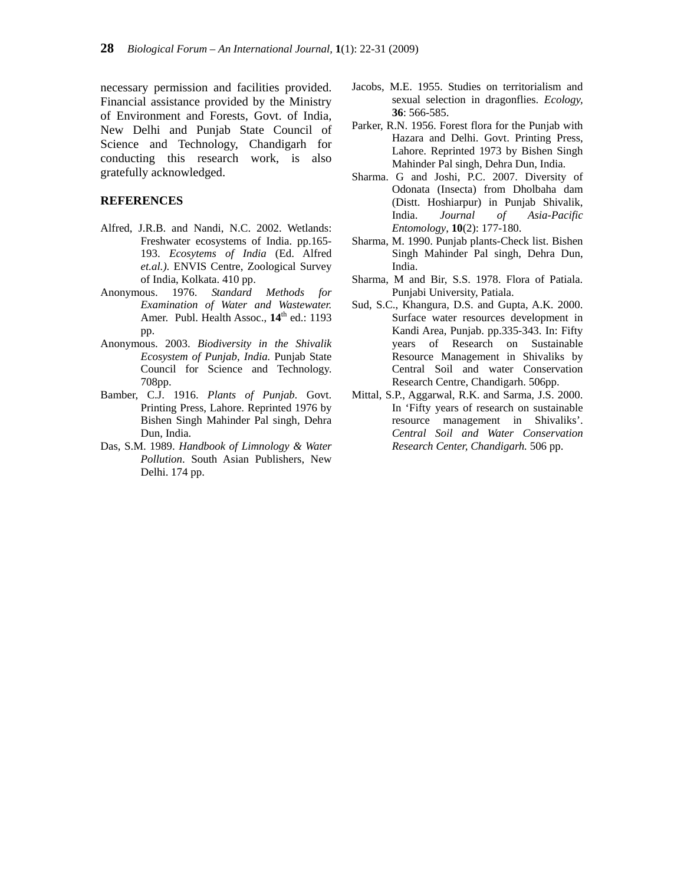necessary permission and facilities provided. Financial assistance provided by the Ministry of Environment and Forests, Govt. of India, New Delhi and Punjab State Council of Science and Technology, Chandigarh for conducting this research work, is also gratefully acknowledged.

#### **REFERENCES**

- Alfred, J.R.B. and Nandi, N.C. 2002. Wetlands: Freshwater ecosystems of India. pp.165- 193. *Ecosytems of India* (Ed. Alfred *et.al.)*. ENVIS Centre, Zoological Survey of India, Kolkata. 410 pp.
- Anonymous. 1976. *Standard Methods for Examination of Water and Wastewater.* Amer. Publ. Health Assoc.,  $14^{\text{th}}$  ed.: 1193 pp.
- Anonymous. 2003. *Biodiversity in the Shivalik Ecosystem of Punjab, India.* Punjab State Council for Science and Technology. 708pp.
- Bamber, C.J. 1916. *Plants of Punjab.* Govt. Printing Press, Lahore. Reprinted 1976 by Bishen Singh Mahinder Pal singh, Dehra Dun, India.
- Das, S.M. 1989. *Handbook of Limnology & Water Pollution*. South Asian Publishers, New Delhi. 174 pp.
- Jacobs, M.E. 1955. Studies on territorialism and sexual selection in dragonflies. *Ecology,* **36**: 566-585.
- Parker, R.N. 1956. Forest flora for the Punjab with Hazara and Delhi. Govt. Printing Press, Lahore. Reprinted 1973 by Bishen Singh Mahinder Pal singh, Dehra Dun, India.
- Sharma. G and Joshi, P.C. 2007. Diversity of Odonata (Insecta) from Dholbaha dam (Distt. Hoshiarpur) in Punjab Shivalik, India. *Journal of Asia-Pacific Entomology*, **10**(2): 177-180.
- Sharma, M. 1990. Punjab plants-Check list. Bishen Singh Mahinder Pal singh, Dehra Dun, India.
- Sharma, M and Bir, S.S. 1978. Flora of Patiala. Punjabi University, Patiala.
- Sud, S.C., Khangura, D.S. and Gupta, A.K. 2000. Surface water resources development in Kandi Area, Punjab. pp.335-343. In: Fifty years of Research on Sustainable Resource Management in Shivaliks by Central Soil and water Conservation Research Centre, Chandigarh. 506pp.
- Mittal, S.P., Aggarwal, R.K. and Sarma, J.S. 2000. In 'Fifty years of research on sustainable resource management in Shivaliks'. *Central Soil and Water Conservation Research Center, Chandigarh.* 506 pp.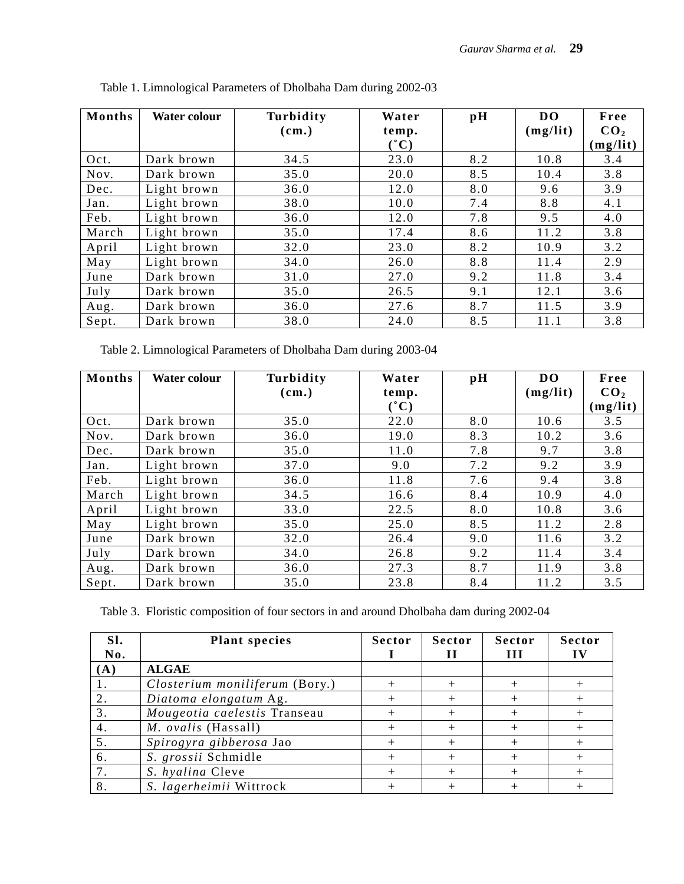| Months | Water colour | Turbidity | Water           | $\mathbf{p}$ H | <b>DO</b> | Free            |
|--------|--------------|-----------|-----------------|----------------|-----------|-----------------|
|        |              | (cm.)     | temp.           |                | (mg/lit)  | CO <sub>2</sub> |
|        |              |           | $(^{\bullet}C)$ |                |           | (mg/lit)        |
| Oct.   | Dark brown   | 34.5      | 23.0            | 8.2            | 10.8      | 3.4             |
| Nov.   | Dark brown   | 35.0      | 20.0            | 8.5            | 10.4      | 3.8             |
| Dec.   | Light brown  | 36.0      | 12.0            | 8.0            | 9.6       | 3.9             |
| Jan.   | Light brown  | 38.0      | 10.0            | 7.4            | 8.8       | 4.1             |
| Feb.   | Light brown  | 36.0      | 12.0            | 7.8            | 9.5       | 4.0             |
| March  | Light brown  | 35.0      | 17.4            | 8.6            | 11.2      | 3.8             |
| April  | Light brown  | 32.0      | 23.0            | 8.2            | 10.9      | 3.2             |
| May    | Light brown  | 34.0      | 26.0            | 8.8            | 11.4      | 2.9             |
| June   | Dark brown   | 31.0      | 27.0            | 9.2            | 11.8      | 3.4             |
| July   | Dark brown   | 35.0      | 26.5            | 9.1            | 12.1      | 3.6             |
| Aug.   | Dark brown   | 36.0      | 27.6            | 8.7            | 11.5      | 3.9             |
| Sept.  | Dark brown   | 38.0      | 24.0            | 8.5            | 11.1      | 3.8             |

Table 1. Limnological Parameters of Dholbaha Dam during 2002-03

Table 2. Limnological Parameters of Dholbaha Dam during 2003-04

| <b>Months</b> | <b>Water colour</b> | Turbidity<br>(cm.) | Water<br>temp.      | $\mathbf{p}$ H | <b>DO</b><br>(mg/lit) | Free<br>CO <sub>2</sub> |
|---------------|---------------------|--------------------|---------------------|----------------|-----------------------|-------------------------|
|               |                     |                    | $(\lq\,\mathbf{C})$ |                |                       | (mg/lit)                |
| Oct.          | Dark brown          | 35.0               | 22.0                | 8.0            | 10.6                  | 3.5                     |
| Nov.          | Dark brown          | 36.0               | 19.0                | 8.3            | 10.2                  | 3.6                     |
| Dec.          | Dark brown          | 35.0               | 11.0                | 7.8            | 9.7                   | 3.8                     |
| Jan.          | Light brown         | 37.0               | 9.0                 | 7.2            | 9.2                   | 3.9                     |
| Feb.          | Light brown         | 36.0               | 11.8                | 7.6            | 9.4                   | 3.8                     |
| March         | Light brown         | 34.5               | 16.6                | 8.4            | 10.9                  | 4.0                     |
| April         | Light brown         | 33.0               | 22.5                | 8.0            | 10.8                  | 3.6                     |
| May           | Light brown         | 35.0               | 25.0                | 8.5            | 11.2                  | 2.8                     |
| June          | Dark brown          | 32.0               | 26.4                | 9.0            | 11.6                  | 3.2                     |
| July          | Dark brown          | 34.0               | 26.8                | 9.2            | 11.4                  | 3.4                     |
| Aug.          | Dark brown          | 36.0               | 27.3                | 8.7            | 11.9                  | 3.8                     |
| Sept.         | Dark brown          | 35.0               | 23.8                | 8.4            | 11.2                  | 3.5                     |

Table 3. Floristic composition of four sectors in and around Dholbaha dam during 2002-04

| Sl. | <b>Plant species</b>           | <b>Sector</b> | <b>Sector</b> | <b>Sector</b> | <b>Sector</b> |
|-----|--------------------------------|---------------|---------------|---------------|---------------|
| No. |                                |               |               | Ш             |               |
| (A) | <b>ALGAE</b>                   |               |               |               |               |
|     | Closterium moniliferum (Bory.) |               |               |               |               |
| 2.  | Diatoma elongatum Ag.          |               |               |               |               |
| 3.  | Mougeotia caelestis Transeau   |               |               |               |               |
| 4.  | M. ovalis (Hassall)            |               |               |               |               |
| 5.  | Spirogyra gibberosa Jao        |               |               |               |               |
| 6.  | S. grossii Schmidle            |               |               |               |               |
|     | S. hyalina Cleve               |               |               |               |               |
| 8.  | S. lagerheimii Wittrock        |               |               |               |               |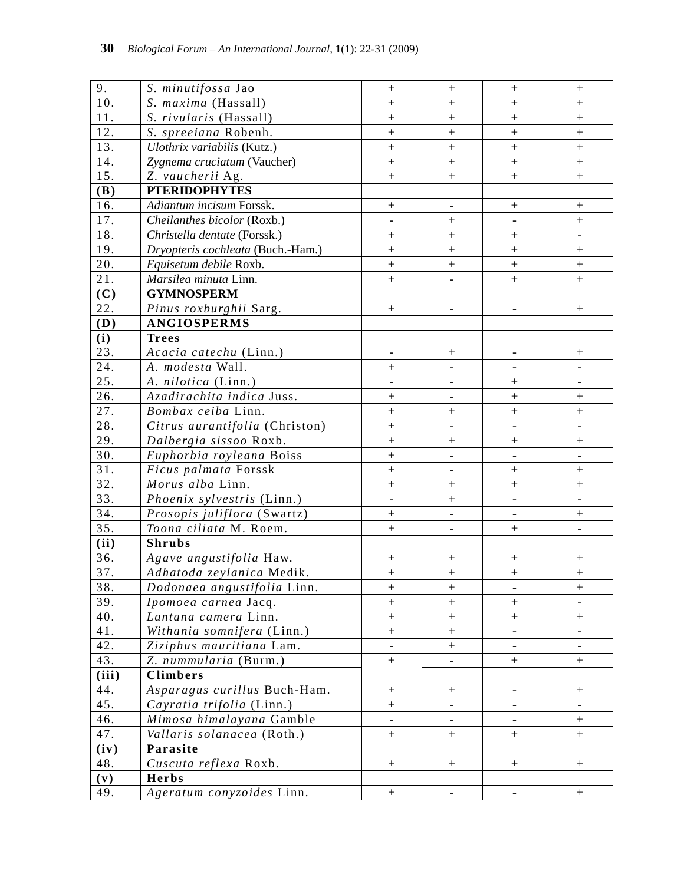| 9.                | S. minutifossa Jao                |                            |                            |                              |                                  |
|-------------------|-----------------------------------|----------------------------|----------------------------|------------------------------|----------------------------------|
| 10.               | S. maxima (Hassall)               | $\boldsymbol{+}$<br>$^{+}$ | $\pm$<br>$\qquad \qquad +$ | $\boldsymbol{+}$<br>$^{+}$   | $\pm$<br>$\ddot{}$               |
| 11.               | S. rivularis (Hassall)            | $\qquad \qquad +$          | $+$                        | $\! +$                       | $\pm$                            |
| 12.               | S. spreeiana Robenh.              | $\ddot{}$                  | $\qquad \qquad +$          | $\ddot{}$                    | $\ddag$                          |
| 13.               | Ulothrix variabilis (Kutz.)       | $\ddot{}$                  | $\pm$                      | $\ddag$                      | $\pm$                            |
| 14.               | Zygnema cruciatum (Vaucher)       | $\qquad \qquad +$          | $\pm$                      | $\ddot{}$                    | $\pm$                            |
| 15.               | Z. vaucherii Ag.                  | $+$                        | $\ddot{}$                  |                              | $\pm$                            |
| (B)               | <b>PTERIDOPHYTES</b>              |                            |                            |                              |                                  |
| 16.               | Adiantum incisum Forssk.          | $\! + \!$                  |                            | $\boldsymbol{+}$             |                                  |
| 17.               | Cheilanthes bicolor (Roxb.)       | $\overline{\phantom{a}}$   |                            |                              | $\boldsymbol{+}$                 |
| 18.               | Christella dentate (Forssk.)      | $\qquad \qquad +$          | $\boldsymbol{+}$           | $\qquad \qquad +$            |                                  |
| 19.               | Dryopteris cochleata (Buch.-Ham.) | $^{+}$                     | $\qquad \qquad +$          | $^{+}$                       | $\boldsymbol{+}$                 |
| 20.               | Equisetum debile Roxb.            | $\boldsymbol{+}$           |                            |                              | $\boldsymbol{+}$                 |
| 21.               | Marsilea minuta Linn.             | $\ddot{}$                  |                            | $\ddot{}$                    | $\pm$                            |
| (C)               | <b>GYMNOSPERM</b>                 |                            |                            |                              |                                  |
| 22.               | Pinus roxburghii Sarg.            | $\boldsymbol{+}$           | $\overline{\phantom{a}}$   | $\overline{\phantom{a}}$     | $\boldsymbol{+}$                 |
| (D)               | <b>ANGIOSPERMS</b>                |                            |                            |                              |                                  |
| (i)               | <b>Trees</b>                      |                            |                            |                              |                                  |
| 23.               | Acacia catechu (Linn.)            | $\overline{\phantom{0}}$   | $+$                        | $\overline{\phantom{a}}$     | $\boldsymbol{+}$                 |
| 24.               | A. modesta Wall.                  | $^{+}$                     |                            |                              |                                  |
| 25.               | A. nilotica (Linn.)               | $\overline{\phantom{a}}$   | $\overline{\phantom{0}}$   | $\ddot{}$                    | $\qquad \qquad -$                |
| 26.               | Azadirachita indica Juss.         | $\qquad \qquad +$          | $\overline{\phantom{a}}$   | $\qquad \qquad +$            | $\pm$                            |
| $\overline{27}$ . | Bombax ceiba Linn.                | $\ddot{}$                  |                            | $\ddot{}$                    | $\qquad \qquad +$                |
| 28.               | Citrus aurantifolia (Christon)    | $\ddot{}$                  |                            | $\blacksquare$               |                                  |
| 29.               | Dalbergia sissoo Roxb.            | $\ddot{}$                  | $\boldsymbol{+}$           | $^{+}$                       | $\boldsymbol{+}$                 |
| 30.               | Euphorbia royleana Boiss          | $\ddot{}$                  | $\overline{\phantom{0}}$   | $\overline{\phantom{a}}$     | $\overline{\phantom{a}}$         |
| 31.               | Ficus palmata Forssk              | $^{+}$                     | $\overline{\phantom{a}}$   | $\qquad \qquad +$            | $\boldsymbol{+}$                 |
| 32.               | Morus alba Linn.                  | $\ddot{}$                  | $\qquad \qquad +$          | $^{+}$                       | $\pm$                            |
| 33.               | Phoenix sylvestris (Linn.)        |                            | $\boldsymbol{+}$           |                              |                                  |
| 34.               | Prosopis juliflora (Swartz)       | $\ddot{}$                  |                            | $\qquad \qquad \blacksquare$ |                                  |
| 35.               | Toona ciliata M. Roem.            | $\qquad \qquad +$          | $\frac{1}{2}$              | $\qquad \qquad +$            |                                  |
| (ii)              | <b>Shrubs</b>                     |                            |                            |                              |                                  |
| 36.               | Agave angustifolia Haw.           | $\boldsymbol{+}$           | $\boldsymbol{+}$           |                              | $\boldsymbol{+}$                 |
| 37.               | Adhatoda zeylanica Medik.         | $\pm$                      | $\boldsymbol{+}$           |                              | $\boldsymbol{+}$                 |
| 38.               | Dodonaea angustifolia Linn.       | $\boldsymbol{+}$           |                            |                              | $\begin{array}{c} + \end{array}$ |
| 39.               | Ipomoea carnea Jacq.              | $^{+}$                     | $+$                        | $+$                          |                                  |
| 40.               | Lantana camera Linn.              | $+$                        | $\boldsymbol{+}$           | $\boldsymbol{+}$             | $\boldsymbol{+}$                 |
| 41.               | Withania somnifera (Linn.)        | $+$                        | $\boldsymbol{+}$           |                              |                                  |
| 42.               | Ziziphus mauritiana Lam.          |                            |                            |                              |                                  |
| 43.               | Z. nummularia (Burm.)             | $\overline{+}$             |                            | $+$                          | $\boldsymbol{+}$                 |
| (iii)             | Climbers                          |                            |                            |                              |                                  |
| 44.               | Asparagus curillus Buch-Ham.      | $\boldsymbol{+}$           | $+$                        | $\overline{\phantom{a}}$     | $\boldsymbol{+}$                 |
| 45.               | Cayratia trifolia (Linn.)         | $+$                        |                            | $\overline{\phantom{a}}$     |                                  |
| 46.               | Mimosa himalayana Gamble          |                            |                            |                              | $\boldsymbol{+}$                 |
| 47.               | Vallaris solanacea (Roth.)        | $+$                        | $+$                        | $+$                          | $\boldsymbol{+}$                 |
| (iv)              | Parasite                          |                            |                            |                              |                                  |
| 48.               | Cuscuta reflexa Roxb.             | $+$                        | $\boldsymbol{+}$           | $+$                          | $^{+}$                           |
| (v)               | <b>Herbs</b>                      |                            |                            |                              |                                  |
| 49.               | Ageratum conyzoides Linn.         | $\boldsymbol{+}$           | $\overline{\phantom{a}}$   | $\overline{\phantom{a}}$     | $\boldsymbol{+}$                 |